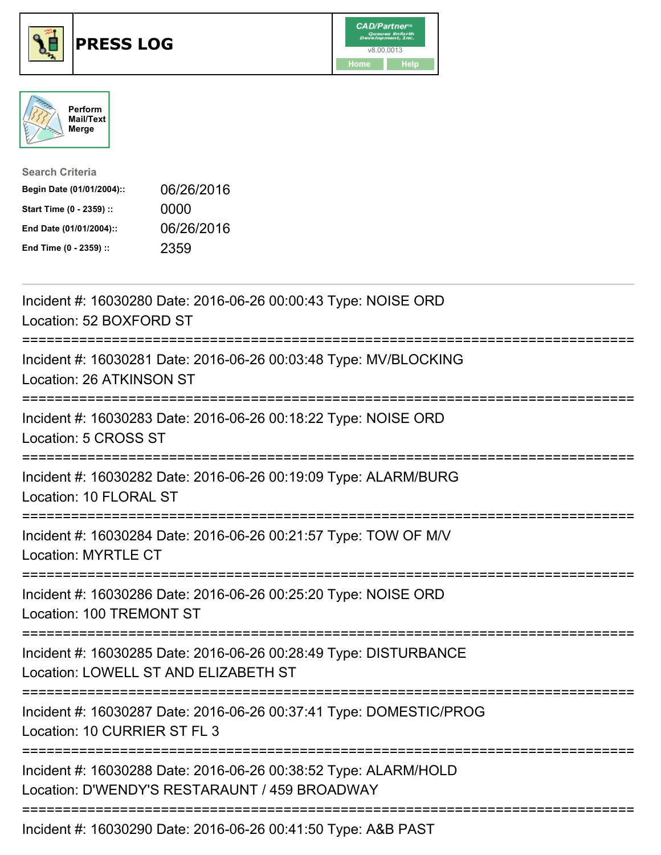





| <b>Search Criteria</b>    |            |
|---------------------------|------------|
| Begin Date (01/01/2004):: | 06/26/2016 |
| Start Time (0 - 2359) ::  | 0000       |
| End Date (01/01/2004)::   | 06/26/2016 |
| End Time (0 - 2359) ::    | 2359       |

| Incident #: 16030280 Date: 2016-06-26 00:00:43 Type: NOISE ORD<br>Location: 52 BOXFORD ST                        |
|------------------------------------------------------------------------------------------------------------------|
| Incident #: 16030281 Date: 2016-06-26 00:03:48 Type: MV/BLOCKING<br>Location: 26 ATKINSON ST                     |
| Incident #: 16030283 Date: 2016-06-26 00:18:22 Type: NOISE ORD<br>Location: 5 CROSS ST                           |
| Incident #: 16030282 Date: 2016-06-26 00:19:09 Type: ALARM/BURG<br>Location: 10 FLORAL ST                        |
| Incident #: 16030284 Date: 2016-06-26 00:21:57 Type: TOW OF M/V<br><b>Location: MYRTLE CT</b>                    |
| Incident #: 16030286 Date: 2016-06-26 00:25:20 Type: NOISE ORD<br>Location: 100 TREMONT ST                       |
| Incident #: 16030285 Date: 2016-06-26 00:28:49 Type: DISTURBANCE<br>Location: LOWELL ST AND ELIZABETH ST         |
| Incident #: 16030287 Date: 2016-06-26 00:37:41 Type: DOMESTIC/PROG<br>Location: 10 CURRIER ST FL 3               |
| Incident #: 16030288 Date: 2016-06-26 00:38:52 Type: ALARM/HOLD<br>Location: D'WENDY'S RESTARAUNT / 459 BROADWAY |
|                                                                                                                  |

Incident #: 16030290 Date: 2016-06-26 00:41:50 Type: A&B PAST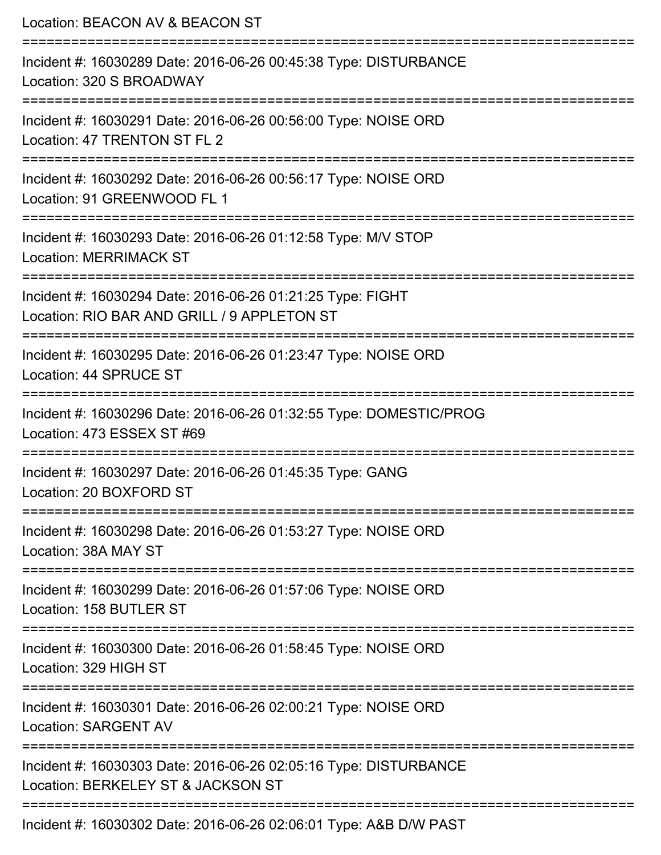| Location: BEACON AV & BEACON ST                                                                                                                                      |
|----------------------------------------------------------------------------------------------------------------------------------------------------------------------|
| Incident #: 16030289 Date: 2016-06-26 00:45:38 Type: DISTURBANCE<br>Location: 320 S BROADWAY                                                                         |
| Incident #: 16030291 Date: 2016-06-26 00:56:00 Type: NOISE ORD<br>Location: 47 TRENTON ST FL 2                                                                       |
| Incident #: 16030292 Date: 2016-06-26 00:56:17 Type: NOISE ORD<br>Location: 91 GREENWOOD FL 1                                                                        |
| Incident #: 16030293 Date: 2016-06-26 01:12:58 Type: M/V STOP<br><b>Location: MERRIMACK ST</b>                                                                       |
| Incident #: 16030294 Date: 2016-06-26 01:21:25 Type: FIGHT<br>Location: RIO BAR AND GRILL / 9 APPLETON ST<br>:======================<br>============================ |
| Incident #: 16030295 Date: 2016-06-26 01:23:47 Type: NOISE ORD<br>Location: 44 SPRUCE ST                                                                             |
| Incident #: 16030296 Date: 2016-06-26 01:32:55 Type: DOMESTIC/PROG<br>Location: 473 ESSEX ST #69                                                                     |
| Incident #: 16030297 Date: 2016-06-26 01:45:35 Type: GANG<br>Location: 20 BOXFORD ST                                                                                 |
| Incident #: 16030298 Date: 2016-06-26 01:53:27 Type: NOISE ORD<br>Location: 38A MAY ST                                                                               |
| Incident #: 16030299 Date: 2016-06-26 01:57:06 Type: NOISE ORD<br>Location: 158 BUTLER ST                                                                            |
| Incident #: 16030300 Date: 2016-06-26 01:58:45 Type: NOISE ORD<br>Location: 329 HIGH ST                                                                              |
| Incident #: 16030301 Date: 2016-06-26 02:00:21 Type: NOISE ORD<br><b>Location: SARGENT AV</b>                                                                        |
| Incident #: 16030303 Date: 2016-06-26 02:05:16 Type: DISTURBANCE<br>Location: BERKELEY ST & JACKSON ST                                                               |
| Incident #: 16030302 Date: 2016-06-26 02:06:01 Type: A&B D/W PAST                                                                                                    |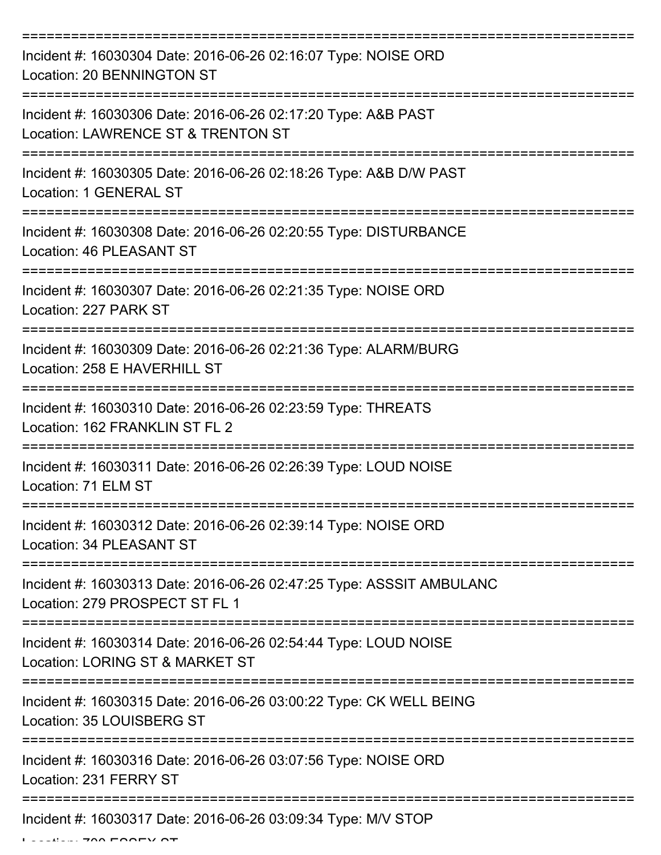| Incident #: 16030304 Date: 2016-06-26 02:16:07 Type: NOISE ORD<br><b>Location: 20 BENNINGTON ST</b>    |
|--------------------------------------------------------------------------------------------------------|
| Incident #: 16030306 Date: 2016-06-26 02:17:20 Type: A&B PAST<br>Location: LAWRENCE ST & TRENTON ST    |
| Incident #: 16030305 Date: 2016-06-26 02:18:26 Type: A&B D/W PAST<br><b>Location: 1 GENERAL ST</b>     |
| Incident #: 16030308 Date: 2016-06-26 02:20:55 Type: DISTURBANCE<br>Location: 46 PLEASANT ST           |
| Incident #: 16030307 Date: 2016-06-26 02:21:35 Type: NOISE ORD<br>Location: 227 PARK ST                |
| Incident #: 16030309 Date: 2016-06-26 02:21:36 Type: ALARM/BURG<br>Location: 258 E HAVERHILL ST        |
| Incident #: 16030310 Date: 2016-06-26 02:23:59 Type: THREATS<br>Location: 162 FRANKLIN ST FL 2         |
| Incident #: 16030311 Date: 2016-06-26 02:26:39 Type: LOUD NOISE<br>Location: 71 ELM ST                 |
| Incident #: 16030312 Date: 2016-06-26 02:39:14 Type: NOISE ORD<br>Location: 34 PLEASANT ST             |
| Incident #: 16030313 Date: 2016-06-26 02:47:25 Type: ASSSIT AMBULANC<br>Location: 279 PROSPECT ST FL 1 |
| Incident #: 16030314 Date: 2016-06-26 02:54:44 Type: LOUD NOISE<br>Location: LORING ST & MARKET ST     |
| Incident #: 16030315 Date: 2016-06-26 03:00:22 Type: CK WELL BEING<br>Location: 35 LOUISBERG ST        |
| Incident #: 16030316 Date: 2016-06-26 03:07:56 Type: NOISE ORD<br>Location: 231 FERRY ST               |
| Incident #: 16030317 Date: 2016-06-26 03:09:34 Type: M/V STOP                                          |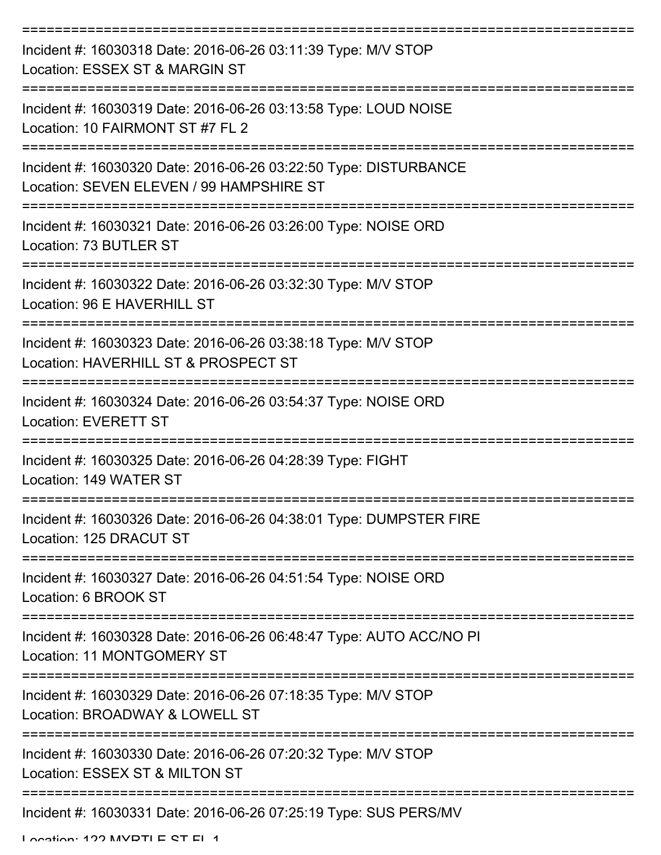| Incident #: 16030318 Date: 2016-06-26 03:11:39 Type: M/V STOP<br>Location: ESSEX ST & MARGIN ST              |
|--------------------------------------------------------------------------------------------------------------|
| Incident #: 16030319 Date: 2016-06-26 03:13:58 Type: LOUD NOISE<br>Location: 10 FAIRMONT ST #7 FL 2          |
| Incident #: 16030320 Date: 2016-06-26 03:22:50 Type: DISTURBANCE<br>Location: SEVEN ELEVEN / 99 HAMPSHIRE ST |
| Incident #: 16030321 Date: 2016-06-26 03:26:00 Type: NOISE ORD<br>Location: 73 BUTLER ST                     |
| Incident #: 16030322 Date: 2016-06-26 03:32:30 Type: M/V STOP<br>Location: 96 E HAVERHILL ST                 |
| Incident #: 16030323 Date: 2016-06-26 03:38:18 Type: M/V STOP<br>Location: HAVERHILL ST & PROSPECT ST        |
| Incident #: 16030324 Date: 2016-06-26 03:54:37 Type: NOISE ORD<br><b>Location: EVERETT ST</b>                |
| Incident #: 16030325 Date: 2016-06-26 04:28:39 Type: FIGHT<br>Location: 149 WATER ST                         |
| Incident #: 16030326 Date: 2016-06-26 04:38:01 Type: DUMPSTER FIRE<br>Location: 125 DRACUT ST                |
| Incident #: 16030327 Date: 2016-06-26 04:51:54 Type: NOISE ORD<br>Location: 6 BROOK ST                       |
| Incident #: 16030328 Date: 2016-06-26 06:48:47 Type: AUTO ACC/NO PI<br>Location: 11 MONTGOMERY ST            |
| Incident #: 16030329 Date: 2016-06-26 07:18:35 Type: M/V STOP<br>Location: BROADWAY & LOWELL ST              |
| Incident #: 16030330 Date: 2016-06-26 07:20:32 Type: M/V STOP<br>Location: ESSEX ST & MILTON ST              |
| Incident #: 16030331 Date: 2016-06-26 07:25:19 Type: SUS PERS/MV                                             |

Location: 122 MVDTLE CT EL 1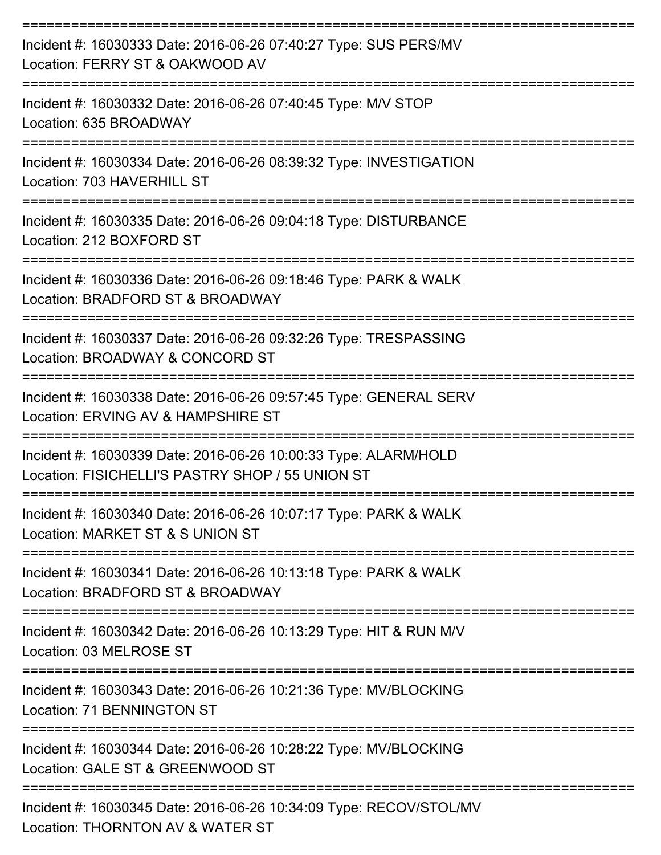| Incident #: 16030333 Date: 2016-06-26 07:40:27 Type: SUS PERS/MV<br>Location: FERRY ST & OAKWOOD AV                 |
|---------------------------------------------------------------------------------------------------------------------|
| Incident #: 16030332 Date: 2016-06-26 07:40:45 Type: M/V STOP<br>Location: 635 BROADWAY                             |
| Incident #: 16030334 Date: 2016-06-26 08:39:32 Type: INVESTIGATION<br>Location: 703 HAVERHILL ST                    |
| Incident #: 16030335 Date: 2016-06-26 09:04:18 Type: DISTURBANCE<br>Location: 212 BOXFORD ST                        |
| Incident #: 16030336 Date: 2016-06-26 09:18:46 Type: PARK & WALK<br>Location: BRADFORD ST & BROADWAY                |
| Incident #: 16030337 Date: 2016-06-26 09:32:26 Type: TRESPASSING<br>Location: BROADWAY & CONCORD ST                 |
| Incident #: 16030338 Date: 2016-06-26 09:57:45 Type: GENERAL SERV<br>Location: ERVING AV & HAMPSHIRE ST             |
| Incident #: 16030339 Date: 2016-06-26 10:00:33 Type: ALARM/HOLD<br>Location: FISICHELLI'S PASTRY SHOP / 55 UNION ST |
| Incident #: 16030340 Date: 2016-06-26 10:07:17 Type: PARK & WALK<br>Location: MARKET ST & S UNION ST                |
| Incident #: 16030341 Date: 2016-06-26 10:13:18 Type: PARK & WALK<br>Location: BRADFORD ST & BROADWAY                |
| Incident #: 16030342 Date: 2016-06-26 10:13:29 Type: HIT & RUN M/V<br>Location: 03 MELROSE ST                       |
| Incident #: 16030343 Date: 2016-06-26 10:21:36 Type: MV/BLOCKING<br>Location: 71 BENNINGTON ST                      |
| Incident #: 16030344 Date: 2016-06-26 10:28:22 Type: MV/BLOCKING<br>Location: GALE ST & GREENWOOD ST                |
| Incident #: 16030345 Date: 2016-06-26 10:34:09 Type: RECOV/STOL/MV<br>Location: THORNTON AV & WATER ST              |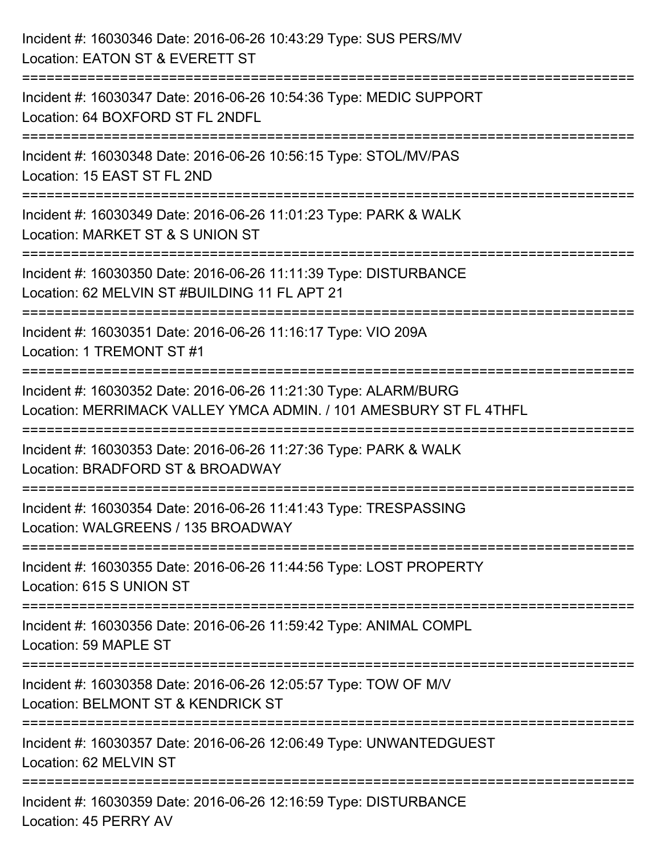| Incident #: 16030346 Date: 2016-06-26 10:43:29 Type: SUS PERS/MV<br>Location: EATON ST & EVERETT ST                                                                  |
|----------------------------------------------------------------------------------------------------------------------------------------------------------------------|
| Incident #: 16030347 Date: 2016-06-26 10:54:36 Type: MEDIC SUPPORT<br>Location: 64 BOXFORD ST FL 2NDFL                                                               |
| Incident #: 16030348 Date: 2016-06-26 10:56:15 Type: STOL/MV/PAS<br>Location: 15 EAST ST FL 2ND<br>=====================================<br>======================== |
| Incident #: 16030349 Date: 2016-06-26 11:01:23 Type: PARK & WALK<br>Location: MARKET ST & S UNION ST                                                                 |
| Incident #: 16030350 Date: 2016-06-26 11:11:39 Type: DISTURBANCE<br>Location: 62 MELVIN ST #BUILDING 11 FL APT 21                                                    |
| Incident #: 16030351 Date: 2016-06-26 11:16:17 Type: VIO 209A<br>Location: 1 TREMONT ST #1                                                                           |
| Incident #: 16030352 Date: 2016-06-26 11:21:30 Type: ALARM/BURG<br>Location: MERRIMACK VALLEY YMCA ADMIN. / 101 AMESBURY ST FL 4THFL                                 |
| Incident #: 16030353 Date: 2016-06-26 11:27:36 Type: PARK & WALK<br>Location: BRADFORD ST & BROADWAY                                                                 |
| Incident #: 16030354 Date: 2016-06-26 11:41:43 Type: TRESPASSING<br>Location: WALGREENS / 135 BROADWAY                                                               |
| Incident #: 16030355 Date: 2016-06-26 11:44:56 Type: LOST PROPERTY<br>Location: 615 S UNION ST                                                                       |
| Incident #: 16030356 Date: 2016-06-26 11:59:42 Type: ANIMAL COMPL<br>Location: 59 MAPLE ST                                                                           |
| Incident #: 16030358 Date: 2016-06-26 12:05:57 Type: TOW OF M/V<br>Location: BELMONT ST & KENDRICK ST                                                                |
| Incident #: 16030357 Date: 2016-06-26 12:06:49 Type: UNWANTEDGUEST<br>Location: 62 MELVIN ST                                                                         |
| Incident #: 16030359 Date: 2016-06-26 12:16:59 Type: DISTURBANCE<br>Location: 45 PERRY AV                                                                            |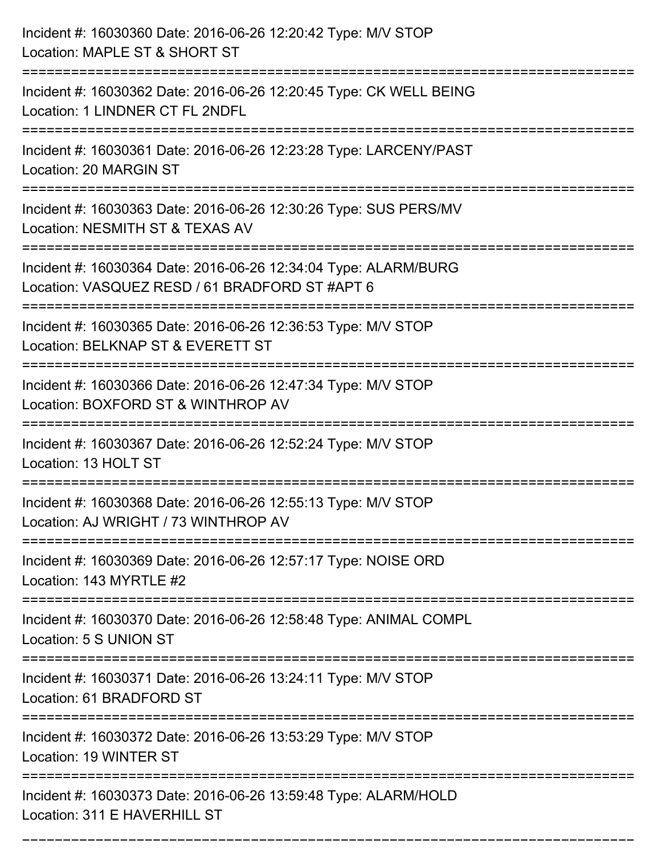| Incident #: 16030360 Date: 2016-06-26 12:20:42 Type: M/V STOP<br>Location: MAPLE ST & SHORT ST                    |
|-------------------------------------------------------------------------------------------------------------------|
| Incident #: 16030362 Date: 2016-06-26 12:20:45 Type: CK WELL BEING<br>Location: 1 LINDNER CT FL 2NDFL             |
| Incident #: 16030361 Date: 2016-06-26 12:23:28 Type: LARCENY/PAST<br>Location: 20 MARGIN ST                       |
| Incident #: 16030363 Date: 2016-06-26 12:30:26 Type: SUS PERS/MV<br>Location: NESMITH ST & TEXAS AV               |
| Incident #: 16030364 Date: 2016-06-26 12:34:04 Type: ALARM/BURG<br>Location: VASQUEZ RESD / 61 BRADFORD ST #APT 6 |
| Incident #: 16030365 Date: 2016-06-26 12:36:53 Type: M/V STOP<br>Location: BELKNAP ST & EVERETT ST                |
| Incident #: 16030366 Date: 2016-06-26 12:47:34 Type: M/V STOP<br>Location: BOXFORD ST & WINTHROP AV               |
| Incident #: 16030367 Date: 2016-06-26 12:52:24 Type: M/V STOP<br>Location: 13 HOLT ST                             |
| Incident #: 16030368 Date: 2016-06-26 12:55:13 Type: M/V STOP<br>Location: AJ WRIGHT / 73 WINTHROP AV             |
| Incident #: 16030369 Date: 2016-06-26 12:57:17 Type: NOISE ORD<br>Location: 143 MYRTLE #2                         |
| Incident #: 16030370 Date: 2016-06-26 12:58:48 Type: ANIMAL COMPL<br>Location: 5 S UNION ST                       |
| Incident #: 16030371 Date: 2016-06-26 13:24:11 Type: M/V STOP<br>Location: 61 BRADFORD ST                         |
| Incident #: 16030372 Date: 2016-06-26 13:53:29 Type: M/V STOP<br>Location: 19 WINTER ST                           |
| Incident #: 16030373 Date: 2016-06-26 13:59:48 Type: ALARM/HOLD<br>Location: 311 E HAVERHILL ST                   |

===========================================================================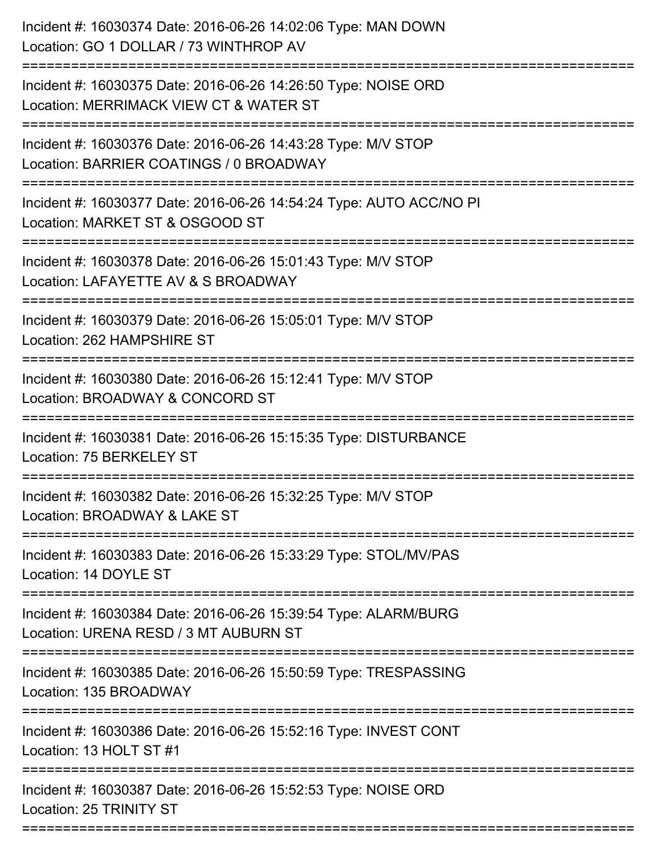| Incident #: 16030374 Date: 2016-06-26 14:02:06 Type: MAN DOWN<br>Location: GO 1 DOLLAR / 73 WINTHROP AV                                        |
|------------------------------------------------------------------------------------------------------------------------------------------------|
| Incident #: 16030375 Date: 2016-06-26 14:26:50 Type: NOISE ORD<br>Location: MERRIMACK VIEW CT & WATER ST                                       |
| Incident #: 16030376 Date: 2016-06-26 14:43:28 Type: M/V STOP<br>Location: BARRIER COATINGS / 0 BROADWAY<br>----------------                   |
| Incident #: 16030377 Date: 2016-06-26 14:54:24 Type: AUTO ACC/NO PI<br>Location: MARKET ST & OSGOOD ST                                         |
| Incident #: 16030378 Date: 2016-06-26 15:01:43 Type: M/V STOP<br>Location: LAFAYETTE AV & S BROADWAY                                           |
| Incident #: 16030379 Date: 2016-06-26 15:05:01 Type: M/V STOP<br>Location: 262 HAMPSHIRE ST                                                    |
| Incident #: 16030380 Date: 2016-06-26 15:12:41 Type: M/V STOP<br>Location: BROADWAY & CONCORD ST                                               |
| Incident #: 16030381 Date: 2016-06-26 15:15:35 Type: DISTURBANCE<br>Location: 75 BERKELEY ST                                                   |
| Incident #: 16030382 Date: 2016-06-26 15:32:25 Type: M/V STOP<br>Location: BROADWAY & LAKE ST                                                  |
| Incident #: 16030383 Date: 2016-06-26 15:33:29 Type: STOL/MV/PAS<br>Location: 14 DOYLE ST                                                      |
| ==================================<br>Incident #: 16030384 Date: 2016-06-26 15:39:54 Type: ALARM/BURG<br>Location: URENA RESD / 3 MT AUBURN ST |
| Incident #: 16030385 Date: 2016-06-26 15:50:59 Type: TRESPASSING<br>Location: 135 BROADWAY                                                     |
| Incident #: 16030386 Date: 2016-06-26 15:52:16 Type: INVEST CONT<br>Location: 13 HOLT ST #1                                                    |
| Incident #: 16030387 Date: 2016-06-26 15:52:53 Type: NOISE ORD<br>Location: 25 TRINITY ST                                                      |
|                                                                                                                                                |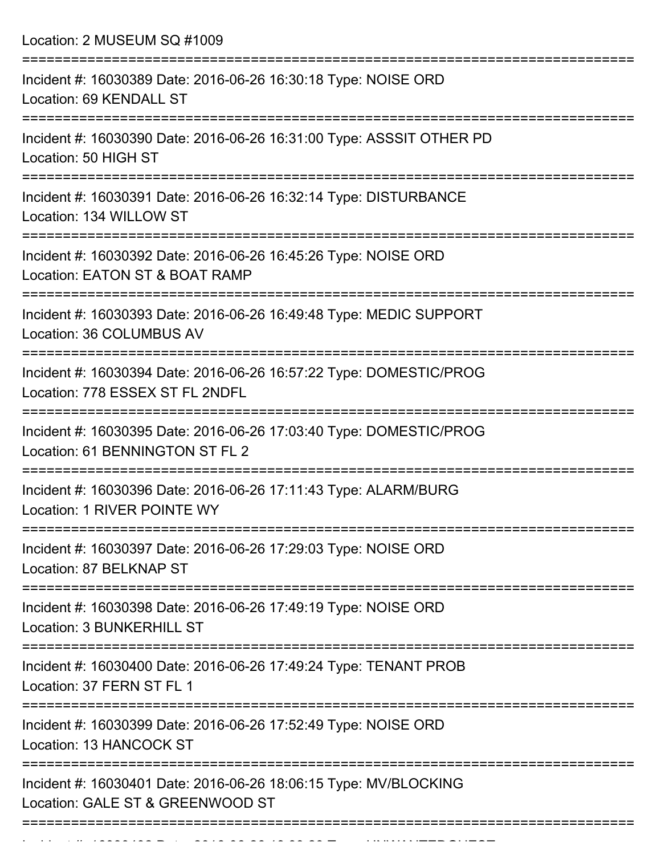Location: 2 MUSEUM SQ #1009 =========================================================================== Incident #: 16030389 Date: 2016-06-26 16:30:18 Type: NOISE ORD Location: 69 KENDALL ST =========================================================================== Incident #: 16030390 Date: 2016-06-26 16:31:00 Type: ASSSIT OTHER PD Location: 50 HIGH ST =========================================================================== Incident #: 16030391 Date: 2016-06-26 16:32:14 Type: DISTURBANCE Location: 134 WILLOW ST =========================================================================== Incident #: 16030392 Date: 2016-06-26 16:45:26 Type: NOISE ORD Location: EATON ST & BOAT RAMP =========================================================================== Incident #: 16030393 Date: 2016-06-26 16:49:48 Type: MEDIC SUPPORT Location: 36 COLUMBUS AV =========================================================================== Incident #: 16030394 Date: 2016-06-26 16:57:22 Type: DOMESTIC/PROG Location: 778 ESSEX ST FL 2NDFL =========================================================================== Incident #: 16030395 Date: 2016-06-26 17:03:40 Type: DOMESTIC/PROG Location: 61 BENNINGTON ST FL 2 =========================================================================== Incident #: 16030396 Date: 2016-06-26 17:11:43 Type: ALARM/BURG Location: 1 RIVER POINTE WY =========================================================================== Incident #: 16030397 Date: 2016-06-26 17:29:03 Type: NOISE ORD Location: 87 BELKNAP ST =========================================================================== Incident #: 16030398 Date: 2016-06-26 17:49:19 Type: NOISE ORD Location: 3 BUNKERHILL ST =========================================================================== Incident #: 16030400 Date: 2016-06-26 17:49:24 Type: TENANT PROB Location: 37 FERN ST FL 1 =========================================================================== Incident #: 16030399 Date: 2016-06-26 17:52:49 Type: NOISE ORD Location: 13 HANCOCK ST =========================================================================== Incident #: 16030401 Date: 2016-06-26 18:06:15 Type: MV/BLOCKING Location: GALE ST & GREENWOOD ST ===========================================================================

Incident #: 16030402 Date: 2016 06 26 18:39:23 Type: UNWANTEDGUEST.<br>.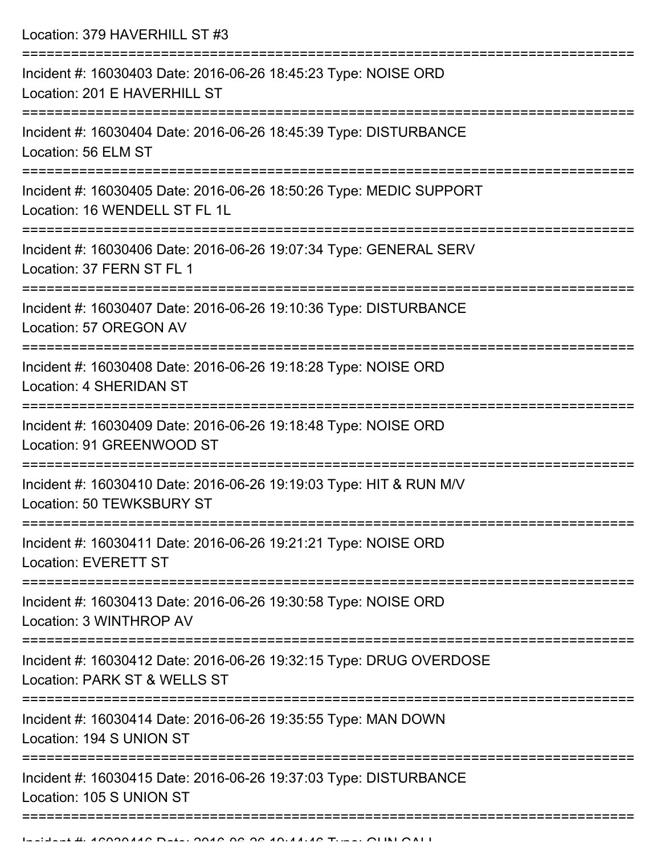Location: 379 HAVERHILL ST #3

| Incident #: 16030403 Date: 2016-06-26 18:45:23 Type: NOISE ORD<br>Location: 201 E HAVERHILL ST      |
|-----------------------------------------------------------------------------------------------------|
| Incident #: 16030404 Date: 2016-06-26 18:45:39 Type: DISTURBANCE<br>Location: 56 ELM ST             |
| Incident #: 16030405 Date: 2016-06-26 18:50:26 Type: MEDIC SUPPORT<br>Location: 16 WENDELL ST FL 1L |
| Incident #: 16030406 Date: 2016-06-26 19:07:34 Type: GENERAL SERV<br>Location: 37 FERN ST FL 1      |
| Incident #: 16030407 Date: 2016-06-26 19:10:36 Type: DISTURBANCE<br>Location: 57 OREGON AV          |
| Incident #: 16030408 Date: 2016-06-26 19:18:28 Type: NOISE ORD<br><b>Location: 4 SHERIDAN ST</b>    |
| Incident #: 16030409 Date: 2016-06-26 19:18:48 Type: NOISE ORD<br>Location: 91 GREENWOOD ST         |
| Incident #: 16030410 Date: 2016-06-26 19:19:03 Type: HIT & RUN M/V<br>Location: 50 TEWKSBURY ST     |
| Incident #: 16030411 Date: 2016-06-26 19:21:21 Type: NOISE ORD<br><b>Location: EVERETT ST</b>       |
| Incident #: 16030413 Date: 2016-06-26 19:30:58 Type: NOISE ORD<br>Location: 3 WINTHROP AV           |
| Incident #: 16030412 Date: 2016-06-26 19:32:15 Type: DRUG OVERDOSE<br>Location: PARK ST & WELLS ST  |
| Incident #: 16030414 Date: 2016-06-26 19:35:55 Type: MAN DOWN<br>Location: 194 S UNION ST           |
| Incident #: 16030415 Date: 2016-06-26 19:37:03 Type: DISTURBANCE<br>Location: 105 S UNION ST        |
|                                                                                                     |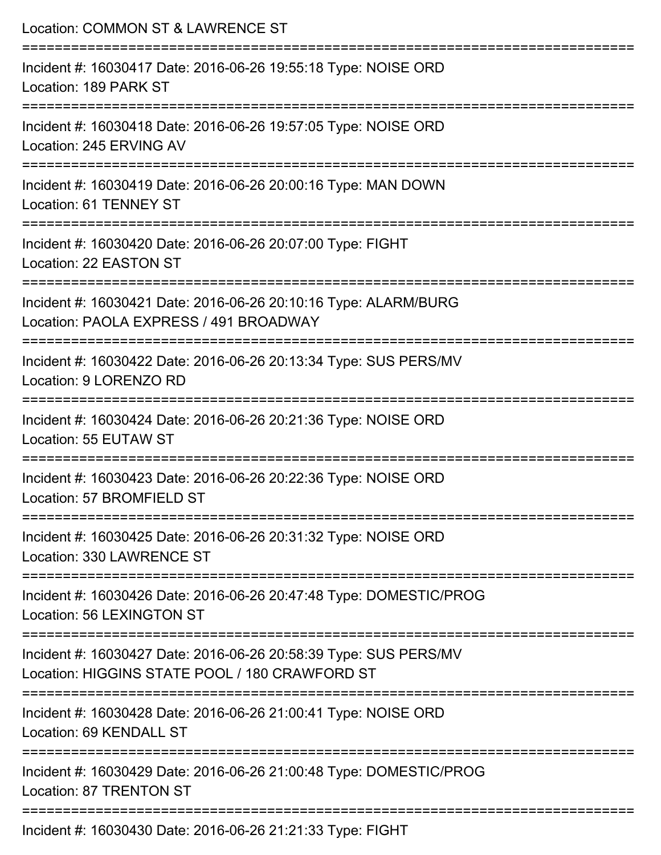| Location: COMMON ST & LAWRENCE ST                                                                                                                 |
|---------------------------------------------------------------------------------------------------------------------------------------------------|
| Incident #: 16030417 Date: 2016-06-26 19:55:18 Type: NOISE ORD<br>Location: 189 PARK ST                                                           |
| Incident #: 16030418 Date: 2016-06-26 19:57:05 Type: NOISE ORD<br>Location: 245 ERVING AV                                                         |
| Incident #: 16030419 Date: 2016-06-26 20:00:16 Type: MAN DOWN<br>Location: 61 TENNEY ST                                                           |
| Incident #: 16030420 Date: 2016-06-26 20:07:00 Type: FIGHT<br>Location: 22 EASTON ST                                                              |
| Incident #: 16030421 Date: 2016-06-26 20:10:16 Type: ALARM/BURG<br>Location: PAOLA EXPRESS / 491 BROADWAY                                         |
| ===================<br>============================<br>Incident #: 16030422 Date: 2016-06-26 20:13:34 Type: SUS PERS/MV<br>Location: 9 LORENZO RD |
| Incident #: 16030424 Date: 2016-06-26 20:21:36 Type: NOISE ORD<br>Location: 55 EUTAW ST                                                           |
| Incident #: 16030423 Date: 2016-06-26 20:22:36 Type: NOISE ORD<br>Location: 57 BROMFIELD ST                                                       |
| ==============================<br>Incident #: 16030425 Date: 2016-06-26 20:31:32 Type: NOISE ORD<br>Location: 330 LAWRENCE ST                     |
| Incident #: 16030426 Date: 2016-06-26 20:47:48 Type: DOMESTIC/PROG<br><b>Location: 56 LEXINGTON ST</b>                                            |
| Incident #: 16030427 Date: 2016-06-26 20:58:39 Type: SUS PERS/MV<br>Location: HIGGINS STATE POOL / 180 CRAWFORD ST                                |
| Incident #: 16030428 Date: 2016-06-26 21:00:41 Type: NOISE ORD<br>Location: 69 KENDALL ST                                                         |
| Incident #: 16030429 Date: 2016-06-26 21:00:48 Type: DOMESTIC/PROG<br>Location: 87 TRENTON ST                                                     |
| Incident #: 16030430 Date: 2016-06-26 21:21:33 Type: EIGHT                                                                                        |

Incident #: 16030430 Date: 2016-06-26 21:21:33 Type: FIGHT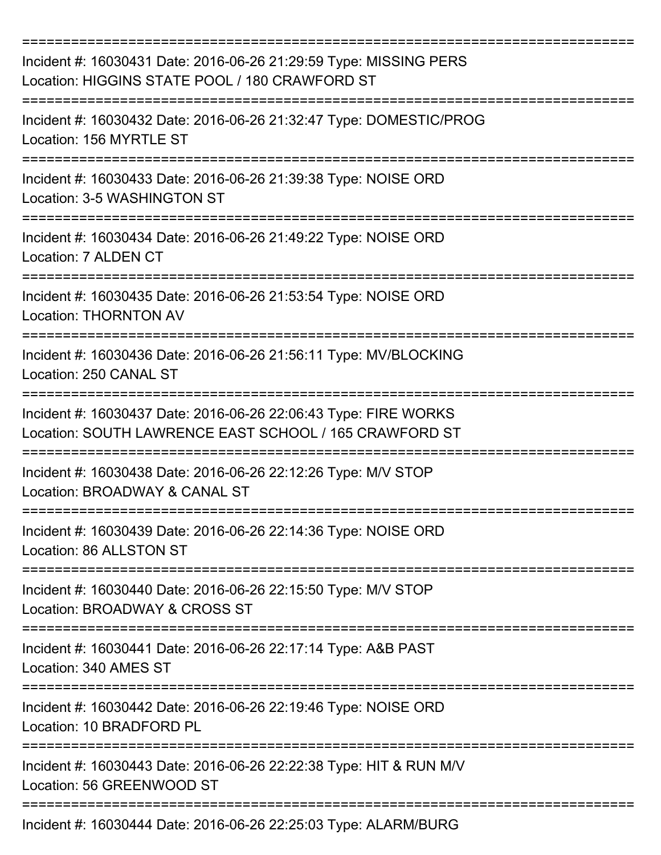| Incident #: 16030431 Date: 2016-06-26 21:29:59 Type: MISSING PERS<br>Location: HIGGINS STATE POOL / 180 CRAWFORD ST       |
|---------------------------------------------------------------------------------------------------------------------------|
| Incident #: 16030432 Date: 2016-06-26 21:32:47 Type: DOMESTIC/PROG<br>Location: 156 MYRTLE ST                             |
| Incident #: 16030433 Date: 2016-06-26 21:39:38 Type: NOISE ORD<br>Location: 3-5 WASHINGTON ST                             |
| Incident #: 16030434 Date: 2016-06-26 21:49:22 Type: NOISE ORD<br>Location: 7 ALDEN CT                                    |
| Incident #: 16030435 Date: 2016-06-26 21:53:54 Type: NOISE ORD<br><b>Location: THORNTON AV</b>                            |
| Incident #: 16030436 Date: 2016-06-26 21:56:11 Type: MV/BLOCKING<br>Location: 250 CANAL ST                                |
| Incident #: 16030437 Date: 2016-06-26 22:06:43 Type: FIRE WORKS<br>Location: SOUTH LAWRENCE EAST SCHOOL / 165 CRAWFORD ST |
| Incident #: 16030438 Date: 2016-06-26 22:12:26 Type: M/V STOP<br>Location: BROADWAY & CANAL ST                            |
| Incident #: 16030439 Date: 2016-06-26 22:14:36 Type: NOISE ORD<br>Location: 86 ALLSTON ST                                 |
| Incident #: 16030440 Date: 2016-06-26 22:15:50 Type: M/V STOP<br>Location: BROADWAY & CROSS ST                            |
| Incident #: 16030441 Date: 2016-06-26 22:17:14 Type: A&B PAST<br>Location: 340 AMES ST                                    |
| Incident #: 16030442 Date: 2016-06-26 22:19:46 Type: NOISE ORD<br>Location: 10 BRADFORD PL                                |
| Incident #: 16030443 Date: 2016-06-26 22:22:38 Type: HIT & RUN M/V<br>Location: 56 GREENWOOD ST                           |
| Incident #: 16030444 Date: 2016-06-26 22:25:03 Type: ALARM/BURG                                                           |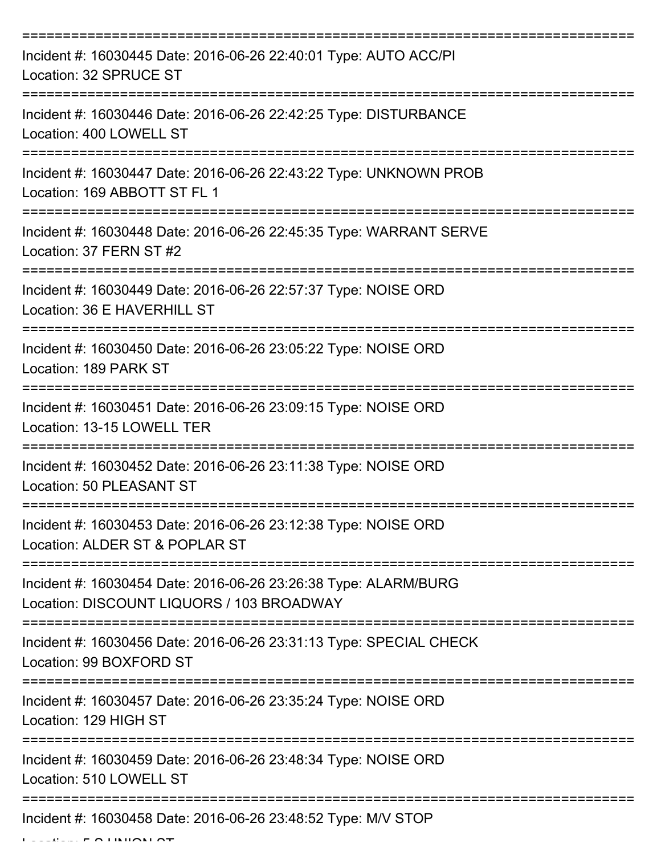| Incident #: 16030445 Date: 2016-06-26 22:40:01 Type: AUTO ACC/PI<br>Location: 32 SPRUCE ST                   |
|--------------------------------------------------------------------------------------------------------------|
| Incident #: 16030446 Date: 2016-06-26 22:42:25 Type: DISTURBANCE<br>Location: 400 LOWELL ST                  |
| Incident #: 16030447 Date: 2016-06-26 22:43:22 Type: UNKNOWN PROB<br>Location: 169 ABBOTT ST FL 1            |
| Incident #: 16030448 Date: 2016-06-26 22:45:35 Type: WARRANT SERVE<br>Location: 37 FERN ST #2                |
| Incident #: 16030449 Date: 2016-06-26 22:57:37 Type: NOISE ORD<br>Location: 36 E HAVERHILL ST                |
| Incident #: 16030450 Date: 2016-06-26 23:05:22 Type: NOISE ORD<br>Location: 189 PARK ST                      |
| Incident #: 16030451 Date: 2016-06-26 23:09:15 Type: NOISE ORD<br>Location: 13-15 LOWELL TER                 |
| Incident #: 16030452 Date: 2016-06-26 23:11:38 Type: NOISE ORD<br>Location: 50 PLEASANT ST                   |
| Incident #: 16030453 Date: 2016-06-26 23:12:38 Type: NOISE ORD<br>Location: ALDER ST & POPLAR ST             |
| Incident #: 16030454 Date: 2016-06-26 23:26:38 Type: ALARM/BURG<br>Location: DISCOUNT LIQUORS / 103 BROADWAY |
| Incident #: 16030456 Date: 2016-06-26 23:31:13 Type: SPECIAL CHECK<br>Location: 99 BOXFORD ST                |
| Incident #: 16030457 Date: 2016-06-26 23:35:24 Type: NOISE ORD<br>Location: 129 HIGH ST                      |
| Incident #: 16030459 Date: 2016-06-26 23:48:34 Type: NOISE ORD<br>Location: 510 LOWELL ST                    |
| Incident #: 16030458 Date: 2016-06-26 23:48:52 Type: M/V STOP                                                |